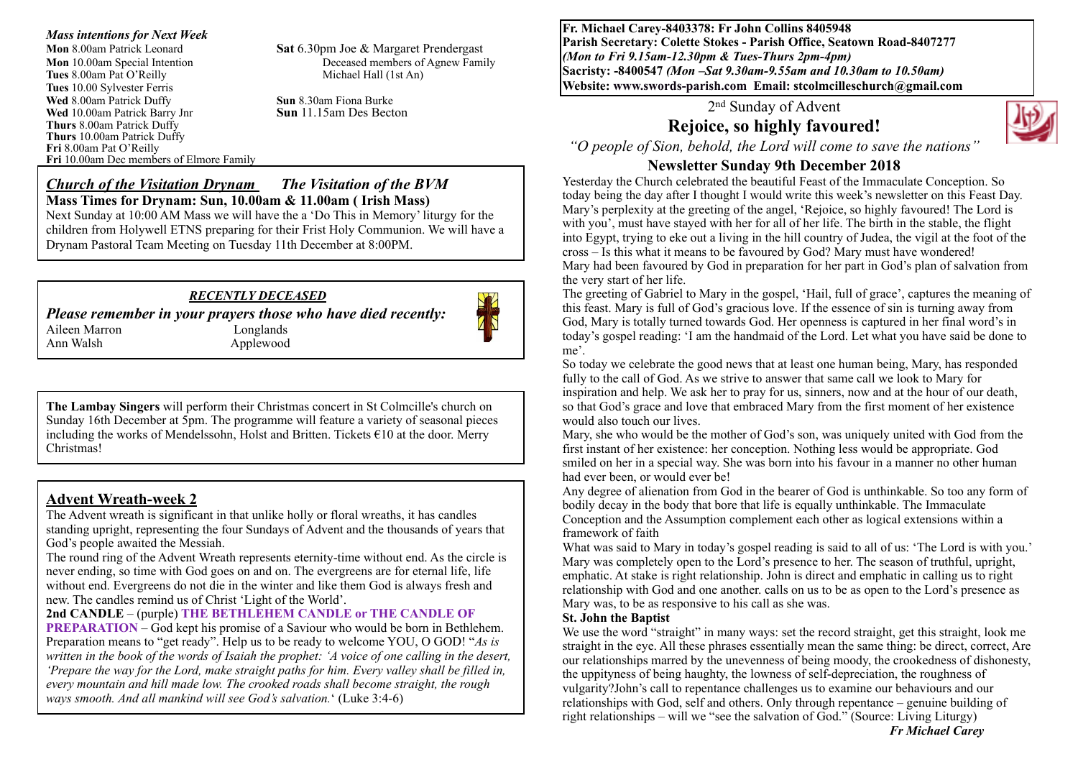*Mass intentions for Next Week*  **Mon** 8.00am Patrick Leonard **Sat** 6.30pm Joe & Margaret Prendergast **Mon** 10.00am Special Intention Deceased members of Agnew Family<br> **Tues** 8.00am Pat O'Reilly Michael Hall (1st An) **Tues** 8.00am Pat O'Reilly **Tues** 10.00 Sylvester Ferris **Wed 8.00am Patrick Duffy**<br> **Sun 8.30am Fiona Burke**<br> **Sun 11.15am Des Becton**<br> **Sun 11.15am Des Becton Wed** 10.00am Patrick Barry Jnr **Thurs** 8.00am Patrick Duffy **Thurs** 10.00am Patrick Duffy **Fri** 8.00am Pat O'Reilly **Fri** 10.00am Dec members of Elmore Family

*Church of the Visitation Drynam**The Visitation of the BVM* **Mass Times for Drynam: Sun, 10.00am & 11.00am ( Irish Mass)**  Next Sunday at 10:00 AM Mass we will have the a 'Do This in Memory' liturgy for the children from Holywell ETNS preparing for their Frist Holy Communion. We will have a Drynam Pastoral Team Meeting on Tuesday 11th December at 8:00PM.

#### *RECENTLY DECEASED*

*Please remember in your prayers those who have died recently:*

Aileen Marron Longlands Ann Walsh Applewood

**The Lambay Singers** will perform their Christmas concert in St Colmcille's church on Sunday 16th December at 5pm. The programme will feature a variety of seasonal pieces including the works of Mendelssohn, Holst and Britten. Tickets €10 at the door. Merry Christmas!

### **Advent Wreath-week 2**

The Advent wreath is significant in that unlike holly or floral wreaths, it has candles standing upright, representing the four Sundays of Advent and the thousands of years that God's people awaited the Messiah.

The round ring of the Advent Wreath represents eternity-time without end. As the circle is never ending, so time with God goes on and on. The evergreens are for eternal life, life without end. Evergreens do not die in the winter and like them God is always fresh and new. The candles remind us of Christ 'Light of the World'.

#### **2nd CANDLE** – (purple) **THE BETHLEHEM CANDLE or THE CANDLE OF**

**PREPARATION** – God kept his promise of a Saviour who would be born in Bethlehem. Preparation means to "get ready". Help us to be ready to welcome YOU, O GOD! "*As is written in the book of the words of Isaiah the prophet: 'A voice of one calling in the desert, 'Prepare the way for the Lord, make straight paths for him. Every valley shall be filled in, every mountain and hill made low. The crooked roads shall become straight, the rough ways smooth. And all mankind will see God's salvation.*' (Luke 3:4-6)

**Fr. Michael Carey-8403378: Fr John Collins 8405948 Parish Secretary: Colette Stokes - Parish Office, Seatown Road-8407277**  *(Mon to Fri 9.15am-12.30pm & Tues-Thurs 2pm-4pm)*  **Sacristy: -8400547** *(Mon –Sat 9.30am-9.55am and 10.30am to 10.50am)* **Website: [www.swords-parish.com Email:](http://www.swords-parish.com%20%20email) stcolmcilleschurch@gmail.com**

### 2nd Sunday of Advent

# **Rejoice, so highly favoured!**



*"O people of Sion, behold, the Lord will come to save the nations"*

#### **Newsletter Sunday 9th December 2018**

Yesterday the Church celebrated the beautiful Feast of the Immaculate Conception. So today being the day after I thought I would write this week's newsletter on this Feast Day. Mary's perplexity at the greeting of the angel, 'Rejoice, so highly favoured! The Lord is with you', must have stayed with her for all of her life. The birth in the stable, the flight into Egypt, trying to eke out a living in the hill country of Judea, the vigil at the foot of the cross – Is this what it means to be favoured by God? Mary must have wondered! Mary had been favoured by God in preparation for her part in God's plan of salvation from the very start of her life.

The greeting of Gabriel to Mary in the gospel, 'Hail, full of grace', captures the meaning of this feast. Mary is full of God's gracious love. If the essence of sin is turning away from God, Mary is totally turned towards God. Her openness is captured in her final word's in today's gospel reading: 'I am the handmaid of the Lord. Let what you have said be done to me'.

So today we celebrate the good news that at least one human being, Mary, has responded fully to the call of God. As we strive to answer that same call we look to Mary for inspiration and help. We ask her to pray for us, sinners, now and at the hour of our death, so that God's grace and love that embraced Mary from the first moment of her existence would also touch our lives.

Mary, she who would be the mother of God's son, was uniquely united with God from the first instant of her existence: her conception. Nothing less would be appropriate. God smiled on her in a special way. She was born into his favour in a manner no other human had ever been, or would ever be!

Any degree of alienation from God in the bearer of God is unthinkable. So too any form of bodily decay in the body that bore that life is equally unthinkable. The Immaculate Conception and the Assumption complement each other as logical extensions within a framework of faith

What was said to Mary in today's gospel reading is said to all of us: 'The Lord is with you.' Mary was completely open to the Lord's presence to her. The season of truthful, upright, emphatic. At stake is right relationship. John is direct and emphatic in calling us to right relationship with God and one another. calls on us to be as open to the Lord's presence as Mary was, to be as responsive to his call as she was.

#### **St. John the Baptist**

We use the word "straight" in many ways: set the record straight, get this straight, look me straight in the eye. All these phrases essentially mean the same thing: be direct, correct, Are our relationships marred by the unevenness of being moody, the crookedness of dishonesty, the uppityness of being haughty, the lowness of self-depreciation, the roughness of vulgarity?John's call to repentance challenges us to examine our behaviours and our relationships with God, self and others. Only through repentance – genuine building of right relationships – will we "see the salvation of God." (Source: Living Liturgy)